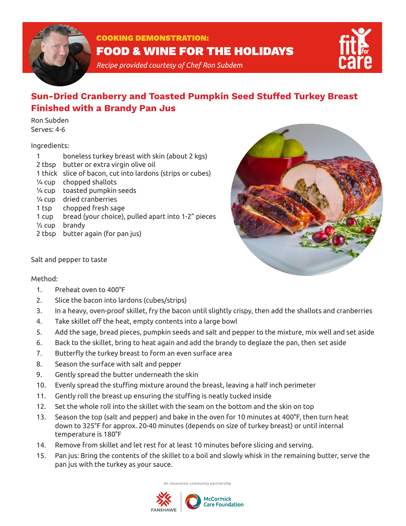

## COOKING DEMONSTRATION: FOOD & WINE FOR THE HOLIDAYS

*Recipe provided courtesy of Chef Ron Subdem*



# **Sun-Dried Cranberry and Toasted Pumpkin Seed Stuffed Turkey Breast Finished with a Brandy Pan Jus**

Ron Subden Serves: 4-6

#### Ingredients:

|                   | boneless turkey breast with skin (about 2 kgs)             |
|-------------------|------------------------------------------------------------|
| 2 tbsp            | butter or extra virgin olive oil                           |
|                   | 1 thick slice of bacon, cut into lardons (strips or cubes) |
| $\frac{1}{4}$ CUD | chopped shallots                                           |
| $\frac{1}{4}$ CUD | toasted pumpkin seeds                                      |
|                   | 1/4 cup dried cranberries                                  |
| 1 tsp             | chopped fresh sage                                         |
| 1 cup             | bread (your choice), pulled apart into 1-2" pieces         |
| $\frac{1}{2}$ cup | brandy                                                     |
| 2 tbsp            | butter again (for pan jus)                                 |
|                   |                                                            |



Salt and pepper to taste

## Method:

- 1. Preheat oven to 400°F
- 2. Slice the bacon into lardons (cubes/strips)
- 3. In a heavy, oven-proof skillet, fry the bacon until slightly crispy, then add the shallots and cranberries
- 4. Take skillet off the heat, empty contents into a large bowl
- 5. Add the sage, bread pieces, pumpkin seeds and salt and pepper to the mixture, mix well and set aside
- 6. Back to the skillet, bring to heat again and add the brandy to deglaze the pan, then set aside
- 7. Butterfly the turkey breast to form an even surface area
- 8. Season the surface with salt and pepper
- 9. Gently spread the butter underneath the skin
- 10. Evenly spread the stuffing mixture around the breast, leaving a half inch perimeter
- 11. Gently roll the breast up ensuring the stuffing is neatly tucked inside
- 12. Set the whole roll into the skillet with the seam on the bottom and the skin on top
- 13. Season the top (salt and pepper) and bake in the oven for 10 minutes at 400°F, then turn heat down to 325°F for approx. 20-40 minutes (depends on size of turkey breast) or until internal temperature is 180°F
- 14. Remove from skillet and let rest for at least 10 minutes before slicing and serving.
- 15. Pan jus: Bring the contents of the skillet to a boil and slowly whisk in the remaining butter, serve the pan jus with the turkey as your sauce.

*An innovative community partnership*

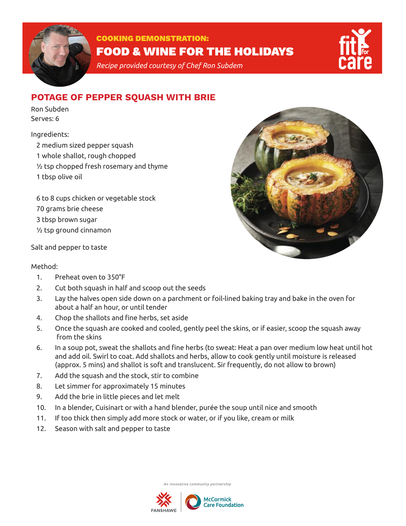

# COOKING DEMONSTRATION: FOOD & WINE FOR THE HOLIDAYS

*Recipe provided courtesy of Chef Ron Subdem*

## **POTAGE OF PEPPER SQUASH WITH BRIE**

Ron Subden Serves: 6

## Ingredients:

2 medium sized pepper squash 1 whole shallot, rough chopped ½ tsp chopped fresh rosemary and thyme 1 tbsp olive oil

6 to 8 cups chicken or vegetable stock 70 grams brie cheese 3 tbsp brown sugar ½ tsp ground cinnamon



## Method:

- 1. Preheat oven to 350°F
- 2. Cut both squash in half and scoop out the seeds
- 3. Lay the halves open side down on a parchment or foil-lined baking tray and bake in the oven for about a half an hour, or until tender
- 4. Chop the shallots and fine herbs, set aside
- 5. Once the squash are cooked and cooled, gently peel the skins, or if easier, scoop the squash away from the skins
- 6. In a soup pot, sweat the shallots and fine herbs (to sweat: Heat a pan over medium low heat until hot and add oil. Swirl to coat. Add shallots and herbs, allow to cook gently until moisture is released (approx. 5 mins) and shallot is soft and translucent. Sir frequently, do not allow to brown)
- 7. Add the squash and the stock, stir to combine
- 8. Let simmer for approximately 15 minutes
- 9. Add the brie in little pieces and let melt
- 10. In a blender, Cuisinart or with a hand blender, purée the soup until nice and smooth
- 11. If too thick then simply add more stock or water, or if you like, cream or milk
- 12. Season with salt and pepper to taste

*An innovative community partnership*